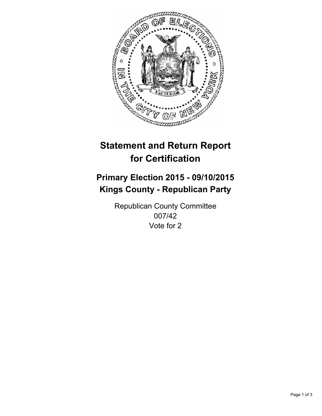

# **Statement and Return Report for Certification**

## **Primary Election 2015 - 09/10/2015 Kings County - Republican Party**

Republican County Committee 007/42 Vote for 2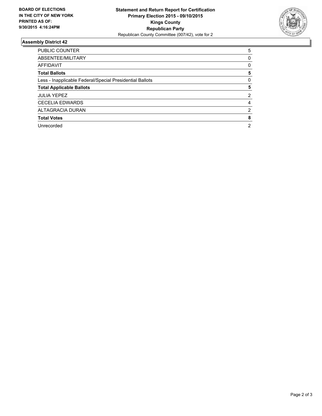

### **Assembly District 42**

| <b>PUBLIC COUNTER</b>                                    | 5              |
|----------------------------------------------------------|----------------|
| ABSENTEE/MILITARY                                        | 0              |
| AFFIDAVIT                                                | 0              |
| <b>Total Ballots</b>                                     | 5              |
| Less - Inapplicable Federal/Special Presidential Ballots | 0              |
| <b>Total Applicable Ballots</b>                          | 5              |
| <b>JULIA YEPEZ</b>                                       | 2              |
| <b>CECELIA EDWARDS</b>                                   | 4              |
| ALTAGRACIA DURAN                                         | 2              |
| <b>Total Votes</b>                                       | 8              |
| Unrecorded                                               | $\overline{2}$ |